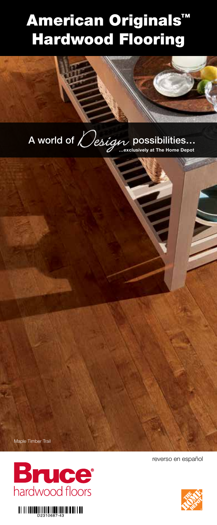# American Originals™ Hardwood Flooring



Maple Timber Trail

**Bruce**<sup>®</sup><br>hardwood floors



reverso en español

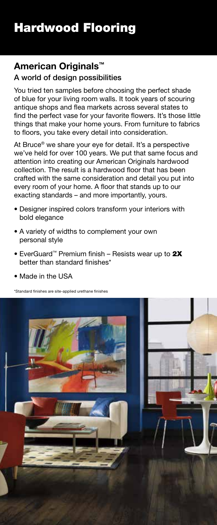## **American Originals™**

## A world of design possibilities

You tried ten samples before choosing the perfect shade of blue for your living room walls. It took years of scouring antique shops and flea markets across several states to find the perfect vase for your favorite flowers. It's those little things that make your home yours. From furniture to fabrics to floors, you take every detail into consideration.

At Bruce<sup>®</sup> we share your eye for detail. It's a perspective we've held for over 100 years. We put that same focus and attention into creating our American Originals hardwood collection. The result is a hardwood floor that has been crafted with the same consideration and detail you put into every room of your home. A floor that stands up to our exacting standards – and more importantly, yours.

- Designer inspired colors transform your interiors with bold elegance
- A variety of widths to complement your own personal style
- EverGuard™ Premium finish Resists wear up to 2X better than standard finishes\*
- Made in the USA

\*Standard finishes are site-applied urethane finishes

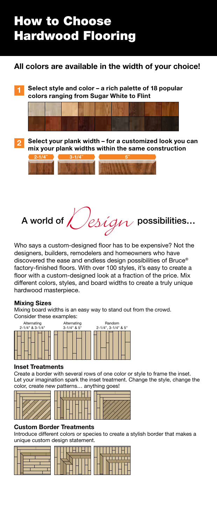## How to Choose Hardwood Flooring

### **All colors are available in the width of your choice!**

**Select style and color – a rich palette of 18 popular colors ranging from Sugar White to Flint 1**



**Select your plank width – for a customized look you can mix your plank widths within the same construction 2**



A world of  $\bigvee$ esign possibilities...

Who says a custom-designed floor has to be expensive? Not the designers, builders, remodelers and homeowners who have discovered the ease and endless design possibilities of Bruce® factory-finished floors. With over 100 styles, it's easy to create a floor with a custom-designed look at a fraction of the price. Mix different colors, styles, and board widths to create a truly unique hardwood masterpiece.

### **Mixing Sizes**

Mixing board widths is an easy way to stand out from the crowd. Consider these examples:



### **Inset Treatments**

Create a border with several rows of one color or style to frame the inset. Let your imagination spark the inset treatment. Change the style, change the color, create new patterns… anything goes!



### **Custom Border Treatments**

Introduce different colors or species to create a stylish border that makes a unique custom design statement.

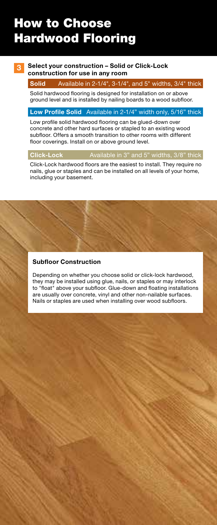## How to Choose Hardwood Flooring

### **3 Select your construction – Solid or Click-Lock construction for use in any room**

### **Solid** Available in 2-1/4", 3-1/4", and 5" widths, 3/4" thick

Solid hardwood flooring is designed for installation on or above ground level and is installed by nailing boards to a wood subfloor.

### **Low Profile Solid** Available in 2-1/4" width only, 5/16" thick

Low profile solid hardwood flooring can be glued-down over concrete and other hard surfaces or stapled to an existing wood subfloor. Offers a smooth transition to other rooms with different floor coverings. Install on or above ground level.

#### **Click-Lock** Available in 3" and 5" widths, 3/8" thick

Click-Lock hardwood floors are the easiest to install. They require no nails, glue or staples and can be installed on all levels of your home, including your basement.

#### **Subfloor Construction**

Depending on whether you choose solid or click-lock hardwood, they may be installed using glue, nails, or staples or may interlock to "float" above your subfloor. Glue-down and floating installations are usually over concrete, vinyl and other non-nailable surfaces. Nails or staples are used when installing over wood subfloors.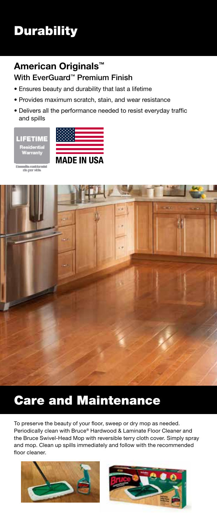## **Durability**

## **American Originals™**

### With EverGuard™ Premium Finish

- Ensures beauty and durability that last a lifetime
- Provides maximum scratch, stain, and wear resistance
- Delivers all the performance needed to resist everyday traffic and spills





milio sentito nin<br>sta per visio



# Care and Maintenance

To preserve the beauty of your floor, sweep or dry mop as needed. Periodically clean with Bruce® Hardwood & Laminate Floor Cleaner and the Bruce Swivel-Head Mop with reversible terry cloth cover. Simply spray and mop. Clean up spills immediately and follow with the recommended floor cleaner.



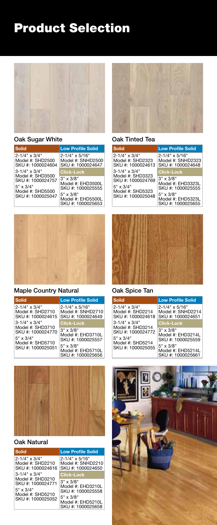

### Oak Sugar White

| <b>Solid</b>                                                                                                                | <b>Low Profile Solid</b>                                         |
|-----------------------------------------------------------------------------------------------------------------------------|------------------------------------------------------------------|
| $2 - 1/4$ " x $3/4$ "<br>Model #: SHD2500<br>SKU #: 1000024604                                                              | $2 - 1/4$ " x $5/16$ "<br>Model #: SNHD2500<br>SKU #: 1000024647 |
| $3 - 1/4$ " x $3/4$ "<br>Model #: SHD3500<br>SKU #: 1000024757<br>$5" \times 3/4"$<br>Model #: SHD5500<br>SKU #: 1000025047 | <b>Click-Lock</b>                                                |
|                                                                                                                             | $3" \times 3/8"$<br>Model #: EHD3500L<br>SKU #: 1000025555       |
|                                                                                                                             | $5" \times 3/8"$<br>Model #: EHD5500L<br>SKU #: 1000025653       |



### Maple Country Natural





### Oak Natural

| Solid                                                                                                                       | <b>Low Profile Solid</b>                                                                                                 |
|-----------------------------------------------------------------------------------------------------------------------------|--------------------------------------------------------------------------------------------------------------------------|
| $2 - 1/4$ " x $3/4$ "<br>Model #: SHD2210<br>SKU #: 1000024616                                                              | $2 - 1/4$ " x $5/16$ "<br>Model #: SNHD2210<br>SKU #: 1000024650                                                         |
| $3 - 1/4$ " x $3/4$ "<br>Model #: SHD3210<br>SKU #: 1000024771<br>$5" \times 3/4"$<br>Model #: SHD5210<br>SKU #: 1000025052 | <b>Click-Lock</b>                                                                                                        |
|                                                                                                                             | $3" \times 3/8"$<br>Model #: EHD3210L<br>SKU #: 1000025558<br>$5" \times 3/8"$<br>Model #: EHD5210L<br>SKU #: 1000025658 |



#### Oak Tinted Tea

| Solid                                                                                                                | <b>Low Profile Solid</b>                                         |
|----------------------------------------------------------------------------------------------------------------------|------------------------------------------------------------------|
| 2-1/4" x 3/4"<br>Model #: SHD2323<br>SKU #: 1000024613                                                               | $2 - 1/4$ " x $5/16$ "<br>Model #: SNHD2323<br>SKU #: 1000024648 |
| $3 - 1/4$ " x $3/4$ "<br>Model #: SHD3323<br>SKU #: 1000024769<br>5" x 3/4"<br>Model #: SHD5323<br>SKU #: 1000025048 | <b>Click-Lock</b>                                                |
|                                                                                                                      | $3" \times 3/8"$<br>Model #: EHD3323L<br>SKU #: 1000025555       |
|                                                                                                                      | $5" \times 3/8"$<br>Model #: EHD5323L<br>SKU #: 1000025655       |



### Oak Spice Tan

| <b>Low Profile Solid</b>                                         |
|------------------------------------------------------------------|
| $2 - 1/4$ " x $5/16$ "<br>Model #: SNHD2214<br>SKU #: 1000024651 |
| <b>Click-Lock</b>                                                |
| $3" \times 3/8"$<br>Model #: EHD3214L<br>SKU #: 1000025559       |
| $5" \times 3/8"$<br>Model #: EHD5214L<br>SKU #: 1000025661       |
|                                                                  |

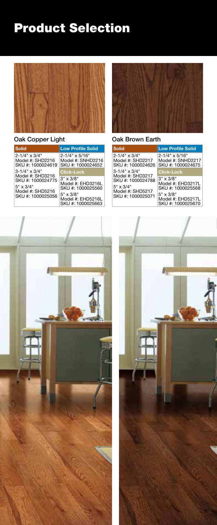

### Oak Copper Light

| <b>Solid</b>                                                                                                                | <b>Low Profile Solid</b>                                         |
|-----------------------------------------------------------------------------------------------------------------------------|------------------------------------------------------------------|
| $2 - 1/4$ " x $3/4$ "<br>Model #: SHD2216<br>SKU #: 1000024619                                                              | $2 - 1/4$ " x $5/16$ "<br>Model #: SNHD2216<br>SKU #: 1000024652 |
| $3 - 1/4$ " x $3/4$ "<br>Model #: SHD3216<br>SKU #: 1000024775<br>$5" \times 3/4"$<br>Model #: SHD5216<br>SKU #: 1000025056 | <b>Click-Lock</b>                                                |
|                                                                                                                             | $3" \times 3/8"$<br>Model #: EHD3216L<br>SKU #: 1000025560       |
|                                                                                                                             | $5" \times 3/8"$<br>Model #: EHD5216L<br>SKU #: 1000025663       |



### Oak Brown Earth

| Solid                                                                                                        | <b>Low Profile Solid</b>                                         |
|--------------------------------------------------------------------------------------------------------------|------------------------------------------------------------------|
| 2-1/4" x 3/4"<br>Model #: SHD2217<br>SKU #: 1000024626                                                       | $2 - 1/4$ " x $5/16$ "<br>Model #: SNHD2217<br>SKU #: 1000024675 |
| 3-1/4" x 3/4"<br>Model #: SHD3217<br>SKU #: 1000024788<br>5" x 3/4"<br>Model #: SHD5217<br>SKU #: 1000025071 | <b>Click-Lock</b>                                                |
|                                                                                                              | $3" \times 3/8"$<br>Model #: EHD3217L<br>SKU #: 1000025568       |
|                                                                                                              | $5" \times 3/8"$<br>Model #: EHD5217L<br>SKU #: 1000025670       |



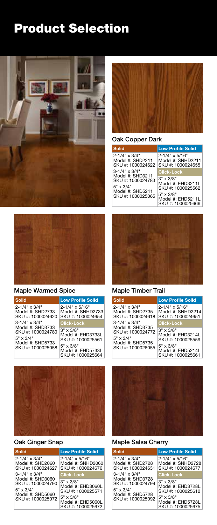



### Maple Warmed Spice





### Oak Ginger Snap

| <b>Solid</b>                                                                                                                | <b>Low Profile Solid</b>                                         |
|-----------------------------------------------------------------------------------------------------------------------------|------------------------------------------------------------------|
| $2 - 1/4$ " x $3/4$ "<br>Model #: SHD2060<br>SKU #: 1000024627                                                              | $2 - 1/4$ " x $5/16$ "<br>Model #: SNHD2060<br>SKU #: 1000024676 |
| $3 - 1/4$ " x $3/4$ "<br>Model #: SHD3060<br>SKU #: 1000024790<br>$5" \times 3/4"$<br>Model #: SHD5060<br>SKU #: 1000025072 | <b>Click-Lock</b>                                                |
|                                                                                                                             | $3" \times 3/8"$<br>Model #: EHD3060L<br>SKU #: 1000025571       |
|                                                                                                                             | $5" \times 3/8"$<br>Model #: EHD5060L<br>SKU #: 1000025672       |



### Oak Copper Dark

| Solid                                                                                       | <b>Low Profile Solid</b>                                                                                                 |
|---------------------------------------------------------------------------------------------|--------------------------------------------------------------------------------------------------------------------------|
| 2-1/4" x 3/4"<br>Model #: SHD2211<br>SKU #: 1000024622                                      | $2 - 1/4$ " x $5/16$ "<br>Model #: SNHD2211<br>SKU #: 1000024655                                                         |
| 3-1/4" x 3/4"                                                                               | <b>Click-Lock</b>                                                                                                        |
| Model #: SHD3211<br>SKU #: 1000024783<br>5" x 3/4"<br>Model #: SHD5211<br>SKU #: 1000025065 | $3" \times 3/8"$<br>Model #: EHD3211L<br>SKU #: 1000025562<br>$5" \times 3/8"$<br>Model #: EHD5211L<br>SKU #: 1000025666 |



### Maple Timber Trail

| <b>Low Profile Solid</b>                                   |
|------------------------------------------------------------|
| 2-1/4" x 5/16"<br>Model #: SNHD2214<br>SKU #: 1000024651   |
| <b>Click-Lock</b>                                          |
| $3" \times 3/8"$<br>Model #: EHD3214L                      |
| SKU #: 1000025559                                          |
| $5" \times 3/8"$<br>Model #: EHD5214L<br>SKU #: 1000025661 |
|                                                            |



### Maple Salsa Cherry

| Solid                                                                                                        | <b>Low Profile Solid</b>                                         |
|--------------------------------------------------------------------------------------------------------------|------------------------------------------------------------------|
| 2-1/4" x 3/4"<br>Model #: SHD2728<br>SKU #: 1000024631                                                       | $2 - 1/4$ " x $5/16$ "<br>Model #: SNHD2728<br>SKU #: 1000024677 |
| 3-1/4" x 3/4"<br>Model #: SHD3728<br>SKU #: 1000024799<br>5" x 3/4"<br>Model #: SHD5728<br>SKU #: 1000025092 | <b>Click-Lock</b>                                                |
|                                                                                                              | $3" \times 3/8"$<br>Model #: EHD3728L<br>SKU #: 1000025612       |
|                                                                                                              | $5" \times 3/8"$<br>Model #: EHD5728L<br>SKU #: 1000025675       |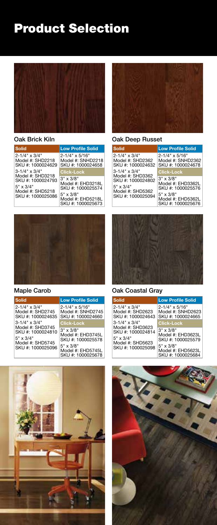

### Oak Brick Kiln

| <b>Solid</b>                                                                                                                | <b>Low Profile Solid</b>                                         |
|-----------------------------------------------------------------------------------------------------------------------------|------------------------------------------------------------------|
| $2 - 1/4$ " x $3/4$ "<br>Model #: SHD2218<br>SKU #: 1000024629                                                              | $2 - 1/4$ " x $5/16$ "<br>Model #: SNHD2218<br>SKU #: 1000024658 |
| $3 - 1/4$ " x $3/4$ "<br>Model #: SHD3218<br>SKU #: 1000024793<br>$5" \times 3/4"$<br>Model #: SHD5218<br>SKU #: 1000025086 | <b>Click-Lock</b>                                                |
|                                                                                                                             | $3" \times 3/8"$<br>Model #: EHD3218L<br>SKU #: 1000025574       |
|                                                                                                                             | $5" \times 3/8"$<br>Model #: EHD5218L<br>SKU #: 1000025673       |



### Oak Deep Russet

| Solid                                                                                       | <b>Low Profile Solid</b>                                                                                                 |
|---------------------------------------------------------------------------------------------|--------------------------------------------------------------------------------------------------------------------------|
| 2-1/4" x 3/4"<br>Model #: SHD2362<br>SKU #: 1000024632                                      | $2 - 1/4$ " x $5/16$ "<br>Model #: SNHD2362<br>ISKU #: 1000024678                                                        |
| 3-1/4" x 3/4"                                                                               | <b>Click-Lock</b>                                                                                                        |
| Model #: SHD3362<br>SKU #: 1000024802<br>5" x 3/4"<br>Model #: SHD5362<br>SKU #: 1000025094 | $3" \times 3/8"$<br>Model #: EHD3362L<br>SKU #: 1000025576<br>$5" \times 3/8"$<br>Model #: EHD5362L<br>SKU #: 1000025676 |



### Maple Carob







### Oak Coastal Gray

| Solid                                                                                                        | <b>Low Profile Solid</b>                                                                                                                      |
|--------------------------------------------------------------------------------------------------------------|-----------------------------------------------------------------------------------------------------------------------------------------------|
| 2-1/4" x 3/4"<br>Model #: SHD2623<br>SKU #: 1000024643                                                       | $2 - 1/4$ " x $5/16$ "<br>Model #: SNHD2623<br>SKU #: 1000024665                                                                              |
| 3-1/4" x 3/4"<br>Model #: SHD3623<br>SKU #: 1000024814<br>5" x 3/4"<br>Model #: SHD5623<br>SKU #: 1000025098 | <b>Click-Lock</b><br>$3" \times 3/8"$<br>Model #: EHD3623L<br>SKU #: 1000025579<br>$5" \times 3/8"$<br>Model #: EHD5623L<br>SKU #: 1000025684 |



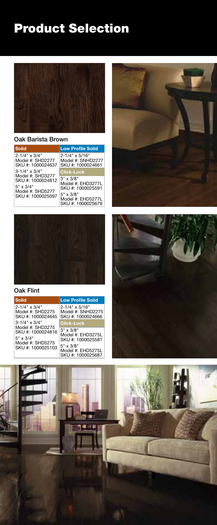

### Oak Barista Brown

| <b>Solid</b>                                                                                                                | <b>Low Profile Solid</b>                                     |
|-----------------------------------------------------------------------------------------------------------------------------|--------------------------------------------------------------|
| $2 - 1/4$ " x $3/4$ "<br>Model #: SHD2277<br>SKU #: 1000024637                                                              | 2-1/4" x 5/16"<br>Model #: SNHD2277<br>SKU #: 1000024661     |
| $3 - 1/4$ " x $3/4$ "<br>Model #: SHD3277<br>SKU #: 1000024812<br>$5" \times 3/4"$<br>Model #: SHD5277<br>SKU #: 1000025097 | <b>Click-Lock</b>                                            |
|                                                                                                                             | $3'' \times 3/8''$<br>Model #: EHD3277L<br>SKU #: 1000025591 |
|                                                                                                                             | $5" \times 3/8"$<br>Model #: EHD5277L<br>SKU #: 1000025679   |





### Oak Flint





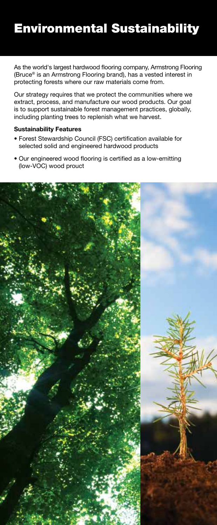## Environmental Sustainability

As the world's largest hardwood flooring company, Armstrong Flooring (Bruce® is an Armstrong Flooring brand), has a vested interest in protecting forests where our raw materials come from.

Our strategy requires that we protect the communities where we extract, process, and manufacture our wood products. Our goal is to support sustainable forest management practices, globally, including planting trees to replenish what we harvest.

### **Sustainability Features**

- Forest Stewardship Council (FSC) certification available for selected solid and engineered hardwood products
- Our engineered wood flooring is certified as a low-emitting (low-VOC) wood prouct